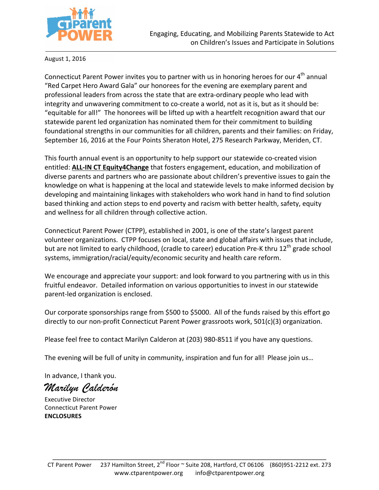

August 1, 2016

Connecticut Parent Power invites you to partner with us in honoring heroes for our  $4<sup>th</sup>$  annual "Red Carpet Hero Award Gala" our honorees for the evening are exemplary parent and professional leaders from across the state that are extra-ordinary people who lead with integrity and unwavering commitment to co-create a world, not as it is, but as it should be: "equitable for all!" The honorees will be lifted up with a heartfelt recognition award that our statewide parent led organization has nominated them for their commitment to building foundational strengths in our communities for all children, parents and their families: on Friday, September 16, 2016 at the Four Points Sheraton Hotel, 275 Research Parkway, Meriden, CT.

This fourth annual event is an opportunity to help support our statewide co-created vision entitled: **ALL-IN CT Equity4Change** that fosters engagement, education, and mobilization of diverse parents and partners who are passionate about children's preventive issues to gain the knowledge on what is happening at the local and statewide levels to make informed decision by developing and maintaining linkages with stakeholders who work hand in hand to find solution based thinking and action steps to end poverty and racism with better health, safety, equity and wellness for all children through collective action.

Connecticut Parent Power (CTPP), established in 2001, is one of the state's largest parent volunteer organizations. CTPP focuses on local, state and global affairs with issues that include, but are not limited to early childhood, (cradle to career) education Pre-K thru 12<sup>th</sup> grade school systems, immigration/racial/equity/economic security and health care reform.

We encourage and appreciate your support: and look forward to you partnering with us in this fruitful endeavor. Detailed information on various opportunities to invest in our statewide parent-led organization is enclosed.

Our corporate sponsorships range from \$500 to \$5000. All of the funds raised by this effort go directly to our non-profit Connecticut Parent Power grassroots work,  $501(c)(3)$  organization.

Please feel free to contact Marilyn Calderon at (203) 980-8511 if you have any questions.

The evening will be full of unity in community, inspiration and fun for all! Please join us...

In advance, I thank you.

*Marilyn Calderón*

Executive Director Connecticut Parent Power **ENCLOSURES**

\_\_\_\_\_\_\_\_\_\_\_\_\_\_\_\_\_\_\_\_\_\_\_\_\_\_\_\_\_\_\_\_\_\_\_\_\_\_\_\_\_\_\_\_\_\_\_\_\_\_\_\_\_\_\_\_\_\_\_\_\_\_\_\_\_\_\_\_\_\_\_\_\_\_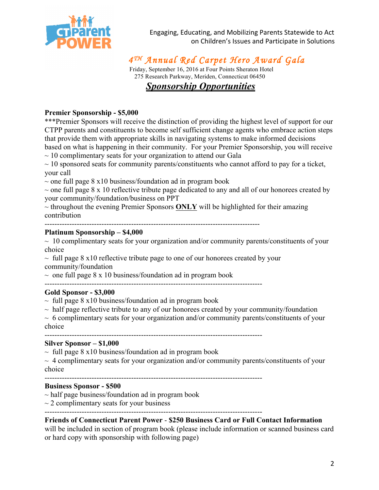

Engaging, Educating, and Mobilizing Parents Statewide to Act on Children's Issues and Participate in Solutions

# *4 TH Annual Red Carpet Hero Award Gala*

Friday, September 16, 2016 at Four Points Sheraton Hotel 275 Research Parkway, Meriden, Connecticut 06450  *Sponsorship Opportunities*

#### **Premier Sponsorship - \$5,000**

\*\*\*Premier Sponsors will receive the distinction of providing the highest level of support for our CTPP parents and constituents to become self sufficient change agents who embrace action steps that provide them with appropriate skills in navigating systems to make informed decisions based on what is happening in their community. For your Premier Sponsorship, you will receive

 $\sim$  10 complimentary seats for your organization to attend our Gala

 $\sim$  10 sponsored seats for community parents/constituents who cannot afford to pay for a ticket, your call

 $\sim$  one full page 8 x10 business/foundation ad in program book

 $\sim$  one full page 8 x 10 reflective tribute page dedicated to any and all of our honorees created by your community/foundation/business on PPT

 $\sim$  throughout the evening Premier Sponsors **ONLY** will be highlighted for their amazing contribution

---------------------------------------------------------------------------------------

#### **Platinum Sponsorship – \$4,000**

 $\sim$  10 complimentary seats for your organization and/or community parents/constituents of your choice

 $\sim$  full page 8 x10 reflective tribute page to one of our honorees created by your community/foundation

 $\sim$  one full page 8 x 10 business/foundation ad in program book

#### ---------------------------------------------------------------------------------------- **Gold Sponsor - \$3,000**

 $\sim$  full page 8 x10 business/foundation ad in program book

 $\sim$  half page reflective tribute to any of our honorees created by your community/foundation

 $\sim 6$  complimentary seats for your organization and/or community parents/constituents of your choice

#### **Silver Sponsor – \$1,000**

 $\sim$  full page 8 x10 business/foundation ad in program book

 $\sim$  4 complimentary seats for your organization and/or community parents/constituents of your choice

----------------------------------------------------------------------------------------

#### **Business Sponsor - \$500**

- $\sim$  half page business/foundation ad in program book
- $\sim$  2 complimentary seats for your business

----------------------------------------------------------------------------------------

## **Friends of Connecticut Parent Power** - **\$250 Business Card or Full Contact Information**

will be included in section of program book (please include information or scanned business card or hard copy with sponsorship with following page)